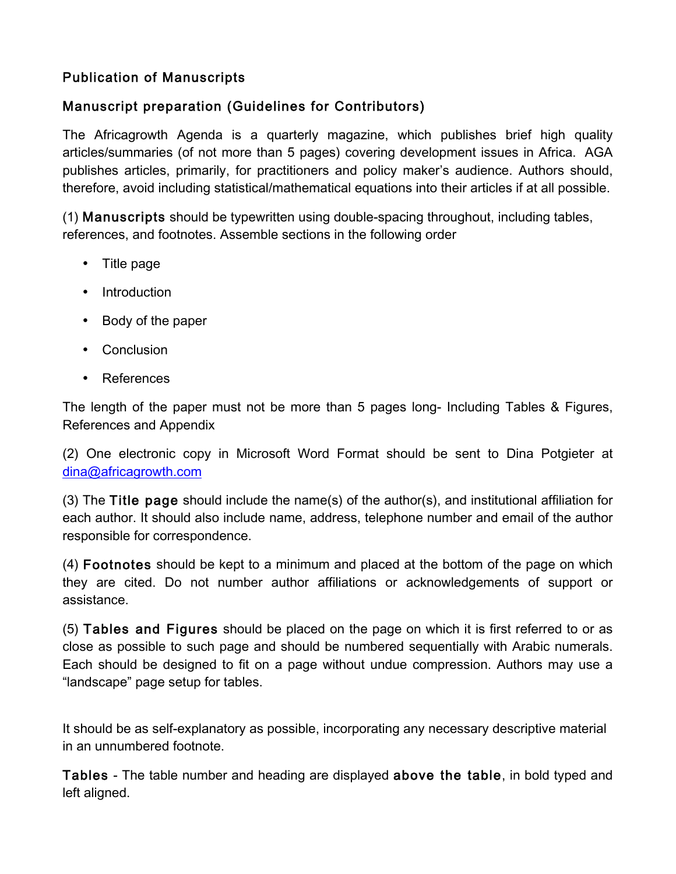## Publication of Manuscripts

## Manuscript preparation (Guidelines for Contributors)

The Africagrowth Agenda is a quarterly magazine, which publishes brief high quality articles/summaries (of not more than 5 pages) covering development issues in Africa. AGA publishes articles, primarily, for practitioners and policy maker's audience. Authors should, therefore, avoid including statistical/mathematical equations into their articles if at all possible.

(1) Manuscripts should be typewritten using double-spacing throughout, including tables, references, and footnotes. Assemble sections in the following order

- Title page
- Introduction
- Body of the paper
- Conclusion
- References

The length of the paper must not be more than 5 pages long- Including Tables & Figures, References and Appendix

(2) One electronic copy in Microsoft Word Format should be sent to Dina Potgieter at dina@africagrowth.com

(3) The Title page should include the name(s) of the author(s), and institutional affiliation for each author. It should also include name, address, telephone number and email of the author responsible for correspondence.

(4) Footnotes should be kept to a minimum and placed at the bottom of the page on which they are cited. Do not number author affiliations or acknowledgements of support or assistance.

(5) Tables and Figures should be placed on the page on which it is first referred to or as close as possible to such page and should be numbered sequentially with Arabic numerals. Each should be designed to fit on a page without undue compression. Authors may use a "landscape" page setup for tables.

It should be as self-explanatory as possible, incorporating any necessary descriptive material in an unnumbered footnote.

Tables - The table number and heading are displayed above the table, in bold typed and left aligned.